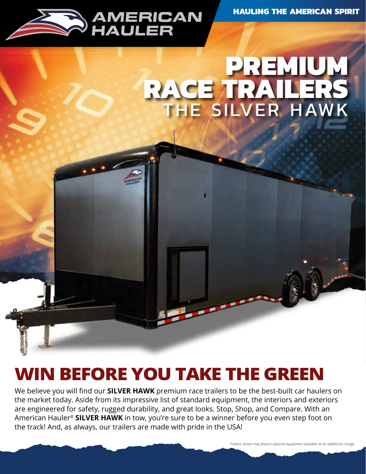

## **PREMIUM RACE TRAILERS** THE SILVER HAWK

### **WIN BEFORE YOU TAKE THE GREEN**

We believe you will find our **SILVER HAWK** premium race trailers to be the best-built car haulers on the market today. Aside from its impressive list of standard equipment, the interiors and exteriors are engineered for safety, rugged durability, and great looks. Stop, Shop, and Compare. With an American Hauler® **SILVER HAWK** in tow, you're sure to be a winner before you even step foot on the track! And, as always, our trailers are made with pride in the USA!